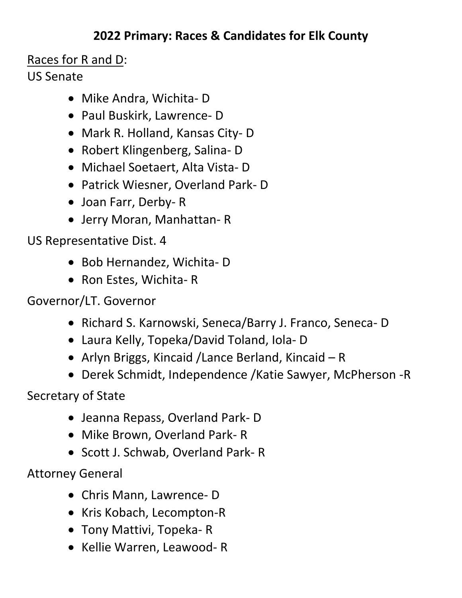## **2022 Primary: Races & Candidates for Elk County**

## Races for R and D:

## US Senate

- Mike Andra, Wichita- D
- Paul Buskirk, Lawrence- D
- Mark R. Holland, Kansas City- D
- Robert Klingenberg, Salina- D
- Michael Soetaert, Alta Vista- D
- Patrick Wiesner, Overland Park- D
- Joan Farr, Derby- R
- Jerry Moran, Manhattan- R

US Representative Dist. 4

- Bob Hernandez, Wichita- D
- Ron Estes, Wichita- R

Governor/LT. Governor

- Richard S. Karnowski, Seneca/Barry J. Franco, Seneca- D
- Laura Kelly, Topeka/David Toland, Iola- D
- Arlyn Briggs, Kincaid /Lance Berland, Kincaid R
- Derek Schmidt, Independence /Katie Sawyer, McPherson -R

Secretary of State

- Jeanna Repass, Overland Park- D
- Mike Brown, Overland Park- R
- Scott J. Schwab, Overland Park- R

Attorney General

- Chris Mann, Lawrence- D
- Kris Kobach, Lecompton-R
- Tony Mattivi, Topeka- R
- Kellie Warren, Leawood- R